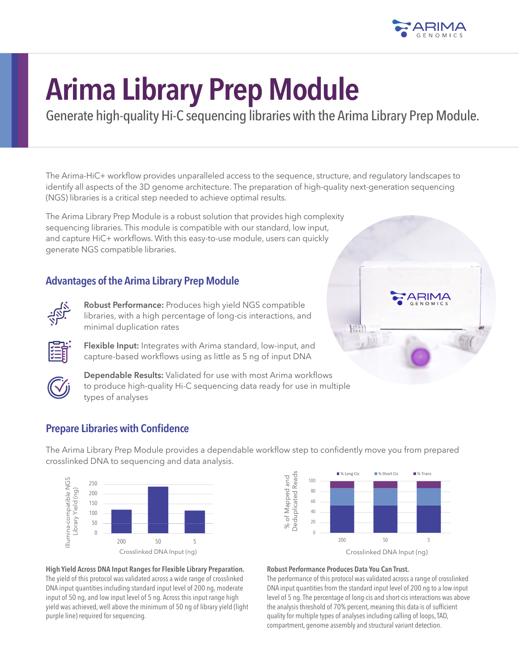

# **Arima Library Prep Module**

Generate high-quality Hi-C sequencing libraries with the Arima Library Prep Module.

The Arima-HiC+ workflow provides unparalleled access to the sequence, structure, and regulatory landscapes to identify all aspects of the 3D genome architecture. The preparation of high-quality next-generation sequencing (NGS) libraries is a critical step needed to achieve optimal results.

The Arima Library Prep Module is a robust solution that provides high complexity sequencing libraries. This module is compatible with our standard, low input, and capture HiC+ workflows. With this easy-to-use module, users can quickly generate NGS compatible libraries.

## **Advantages of the Arima Library Prep Module**



**Robust Performance:** Produces high yield NGS compatible libraries, with a high percentage of long-cis interactions, and minimal duplication rates

**Flexible Input:** Integrates with Arima standard, low-input, and capture-based workflows using as little as 5 ng of input DNA





**Dependable Results:** Validated for use with most Arima workflows to produce high-quality Hi-C sequencing data ready for use in multiple types of analyses

# **Prepare Libraries with Confidence**

The Arima Library Prep Module provides a dependable workflow step to confidently move you from prepared crosslinked DNA to sequencing and data analysis.





**High Yield Across DNA Input Ranges for Flexible Library Preparation.** The yield of this protocol was validated across a wide range of crosslinked DNA input quantities including standard input level of 200 ng, moderate input of 50 ng, and low input level of 5 ng. Across this input range high yield was achieved, well above the minimum of 50 ng of library yield (light purple line) required for sequencing.

### **Robust Performance Produces Data You Can Trust.**

The performance of this protocol was validated across a range of crosslinked DNA input quantities from the standard input level of 200 ng to a low input level of 5 ng. The percentage of long-cis and short-cis interactions was above the analysis threshold of 70% percent, meaning this data is of sufficient quality for multiple types of analyses including calling of loops, TAD, compartment, genome assembly and structural variant detection.